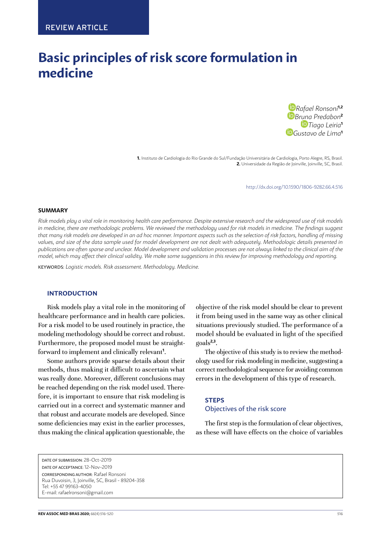# **Basic principles of risk score formulation in medicine**

*[R](https://orcid.org/0000-0001-7135-9844)afael Ronsoni***1,2** *[B](https://orcid.org/0000-0002-3877-4461)[runa](https://orcid.org/0000-0002-3905-102X) Predabon***<sup>2</sup>** *Tiago Leiria***<sup>1</sup>** *[G](https://orcid.org/0000-0002-1356-9648)ustavo de Lima***<sup>1</sup>**

**1.** Instituto de Cardiologia do Rio Grande do Sul/Fundação Universitária de Cardiologia, Porto Alegre, RS, Brasil. **2.** Universidade da Região de Joinville, Joinville, SC, Brasil.

http://dx.doi.org/10.1590/1806-9282.66.4[.516](#page-0-0)

#### **SUMMARY**

*Risk models play a vital role in monitoring health care performance. Despite extensive research and the widespread use of risk models in medicine, there are methodologic problems. We reviewed the methodology used for risk models in medicine. The findings suggest that many risk models are developed in an ad hoc manner. Important aspects such as the selection of risk factors, handling of missing values, and size of the data sample used for model development are not dealt with adequately. Methodologic details presented in publications are often sparse and unclear. Model development and validation processes are not always linked to the clinical aim of the model, which may affect their clinical validity. We make some suggestions in this review for improving methodology and reporting.*

KEYWORDS: *Logistic models. Risk assessment. Methodology. Medicine.*

#### **INTRODUCTION**

Risk models play a vital role in the monitoring of healthcare performance and in health care policies. For a risk model to be used routinely in practice, the modeling methodology should be correct and robust. Furthermore, the proposed model must be straightforward to implement and clinically relevant**<sup>1</sup>** .

Some authors provide sparse details about their methods, thus making it difficult to ascertain what was really done. Moreover, different conclusions may be reached depending on the risk model used. Therefore, it is important to ensure that risk modeling is carried out in a correct and systematic manner and that robust and accurate models are developed. Since some deficiencies may exist in the earlier processes, thus making the clinical application questionable, the objective of the risk model should be clear to prevent it from being used in the same way as other clinical situations previously studied. The performance of a model should be evaluated in light of the specified goals**2,3**.

The objective of this study is to review the methodology used for risk modeling in medicine, suggesting a correct methodological sequence for avoiding common errors in the development of this type of research.

#### **STEPS**

# Objectives of the risk score

<span id="page-0-0"></span>The first step is the formulation of clear objectives, as these will have effects on the choice of variables

DATE OF SUBMISSION: 28-Oct-2019 DATE OF ACCEPTANCE: 12-Nov-2019 CORRESPONDING AUTHOR: Rafael Ronsoni Rua Duvoisin, 3, Joinville, SC, Brasil - 89204-358 Tel: +55 47 99163-4050 E-mail: [rafaelronsoni@gmail.com](mailto:rafaelronsoni@gmail.com)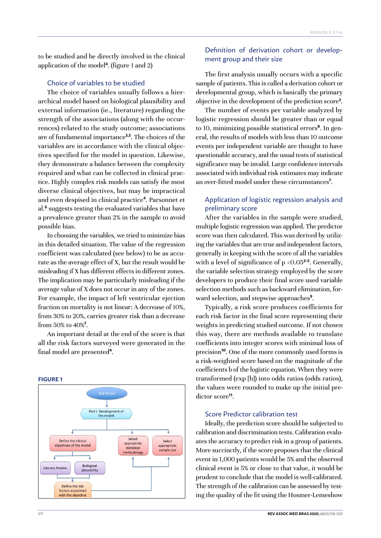to be studied and be directly involved in the clinical application of the model**<sup>4</sup>** . (figure 1 and 2)

## Choice of variables to be studied

The choice of variables usually follows a hierarchical model based on biological plausibility and external information (ie., literature) regarding the strength of the associations (along with the occurrences) related to the study outcome; associations are of fundamental importance**3,5**. The choices of the variables are in accordance with the clinical objectives specified for the model in question. Likewise, they demonstrate a balance between the complexity required and what can be collected in clinical practice. Highly complex risk models can satisfy the most diverse clinical objectives, but may be impractical and even despised in clinical practice**<sup>4</sup>** . Parsonnet et al.**<sup>6</sup>** suggests testing the evaluated variables that have a prevalence greater than 2% in the sample to avoid possible bias.

In choosing the variables, we tried to minimize bias in this detailed situation. The value of the regression coefficient was calculated (see below) to be as accurate as the average effect of X, but the result would be misleading if X has different effects in different zones. The implication may be particularly misleading if the average value of X does not occur in any of the zones. For example, the impact of left ventricular ejection fraction on mortality is not linear: A decrease of 10%, from 30% to 20%, carries greater risk than a decrease from 50% to 40%**<sup>7</sup>** .

An important detail at the end of the score is that all the risk factors surveyed were generated in the final model are presented**<sup>4</sup>** .

#### **FIGURE 1Risk Model** Part I: Development of the model  $\overline{1}$ Select Define the clinical Select appropriate objectives of the mode appropriate statistical sample size **nethodology** Biological Literary Review plausibility Define the risk factors associated vith the object

# Definition of derivation cohort or development group and their size

The first analysis usually occurs with a specific sample of patients. This is called a derivation cohort or developmental group, which is basically the primary objective in the development of the prediction score**<sup>3</sup>** .

The number of events per variable analyzed by logistic regression should be greater than or equal to 10, minimizing possible statistical errors**<sup>8</sup>** . In general, the results of models with less than 10 outcome events per independent variable are thought to have questionable accuracy, and the usual tests of statistical significance may be invalid. Large confidence intervals associated with individual risk estimates may indicate an over-fitted model under these circumstances**<sup>7</sup>** .

# Application of logistic regression analysis and preliminary score

After the variables in the sample were studied, multiple logistic regression was applied. The predictor score was then calculated. This was derived by utilizing the variables that are true and independent factors, generally in keeping with the score of all the variables with a level of significance of p <0.05**3-5**. Generally, the variable selection strategy employed by the score developers to produce their final score used variable selection methods such as backward elimination, forward selection, and stepwise approaches**<sup>9</sup>** .

Typically, a risk score produces coefficients for each risk factor in the final score representing their weights in predicting studied outcome. If not chosen this way, there are methods available to translate coefficients into integer scores with minimal loss of precision**<sup>10</sup>**. One of the more commonly used forms is a risk-weighted score based on the magnitude of the coefficients b of the logistic equation. When they were transformed (exp [b]) into odds ratios (odds ratios), the values were rounded to make up the initial predictor score**<sup>11</sup>**.

#### Score Predictor calibration test

Ideally, the prediction score should be subjected to calibration and discrimination tests. Calibration evaluates the accuracy to predict risk in a group of patients. More succinctly, if the score proposes that the clinical event in 1,000 patients would be 5% and the observed clinical event is 5% or close to that value, it would be prudent to conclude that the model is well-calibrated. The strength of the calibration can be assessed by testing the quality of the fit using the Hosmer-Lemeshow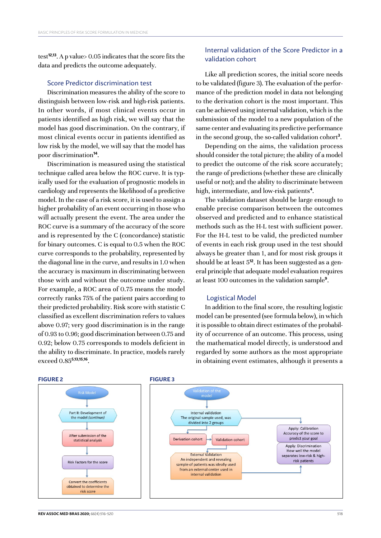test**12,13**. A p value> 0.05 indicates that the score fits the data and predicts the outcome adequately.

# Score Predictor discrimination test

Discrimination measures the ability of the score to distinguish between low-risk and high-risk patients. In other words, if most clinical events occur in patients identified as high risk, we will say that the model has good discrimination. On the contrary, if most clinical events occur in patients identified as low risk by the model, we will say that the model has poor discrimination**<sup>14</sup>**.

Discrimination is measured using the statistical technique called area below the ROC curve. It is typically used for the evaluation of prognostic models in cardiology and represents the likelihood of a predictive model. In the case of a risk score, it is used to assign a higher probability of an event occurring in those who will actually present the event. The area under the ROC curve is a summary of the accuracy of the score and is represented by the C (concordance) statistic for binary outcomes. C is equal to 0.5 when the ROC curve corresponds to the probability, represented by the diagonal line in the curve, and results in 1.0 when the accuracy is maximum in discriminating between those with and without the outcome under study. For example, a ROC area of 0.75 means the model correctly ranks 75% of the patient pairs according to their predicted probability. Risk score with statistic C classified as excellent discrimination refers to values above 0.97; very good discrimination is in the range of 0.93 to 0.96; good discrimination between 0.75 and 0.92; below 0.75 corresponds to models deficient in the ability to discriminate. In practice, models rarely exceed 0.85**5,13,15,16**.

# Internal validation of the Score Predictor in a validation cohort

Like all prediction scores, the initial score needs to be validated (figure 3). The evaluation of the performance of the prediction model in data not belonging to the derivation cohort is the most important. This can be achieved using internal validation, which is the submission of the model to a new population of the same center and evaluating its predictive performance in the second group, the so-called validation cohort**<sup>3</sup>** .

Depending on the aims, the validation process should consider the total picture; the ability of a model to predict the outcome of the risk score accurately; the range of predictions (whether these are clinically useful or not); and the ability to discriminate between high, intermediate, and low-risk patients**<sup>4</sup>** .

The validation dataset should be large enough to enable precise comparison between the outcomes observed and predicted and to enhance statistical methods such as the H-L test with sufficient power. For the H-L test to be valid, the predicted number of events in each risk group used in the test should always be greater than 1, and for most risk groups it should be at least 5**12**. It has been suggested as a general principle that adequate model evaluation requires at least 100 outcomes in the validation sample**<sup>9</sup>** .

#### Logistical Model

In addition to the final score, the resulting logistic model can be presented (see formula below), in which it is possible to obtain direct estimates of the probability of occurrence of an outcome. This process, using the mathematical model directly, is understood and regarded by some authors as the most appropriate in obtaining event estimates, although it presents a



# **REV ASSOC MED BRAS 2020:** 66(4):[516](#page-0-0)-520 518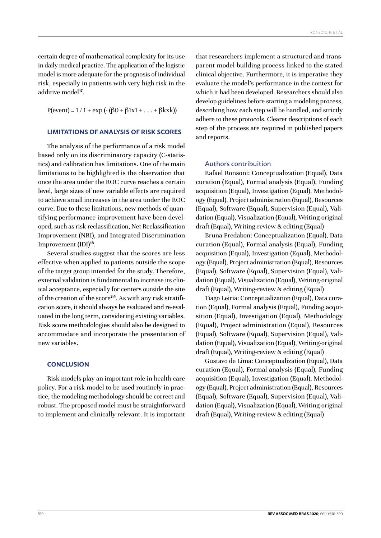certain degree of mathematical complexity for its use in daily medical practice. The application of the logistic model is more adequate for the prognosis of individual risk, especially in patients with very high risk in the additive model**<sup>17</sup>**.

 $P(event) = 1 / 1 + exp(-(\beta 0 + \beta 1x1 + ... + \beta kxk))$ 

## **LIMITATIONS OF ANALYSIS OF RISK SCORES**

The analysis of the performance of a risk model based only on its discriminatory capacity (C-statistics) and calibration has limitations. One of the main limitations to be highlighted is the observation that once the area under the ROC curve reaches a certain level, large sizes of new variable effects are required to achieve small increases in the area under the ROC curve. Due to these limitations, new methods of quantifying performance improvement have been developed, such as risk reclassification, Net Reclassification Improvement (NRI), and Integrated Discrimination Improvement (IDI)**<sup>18</sup>**.

Several studies suggest that the scores are less effective when applied to patients outside the scope of the target group intended for the study. Therefore, external validation is fundamental to increase its clinical acceptance, especially for centers outside the site of the creation of the score**3,4**. As with any risk stratification score, it should always be evaluated and re-evaluated in the long term, considering existing variables. Risk score methodologies should also be designed to accommodate and incorporate the presentation of new variables.

#### **CONCLUSION**

Risk models play an important role in health care policy. For a risk model to be used routinely in practice, the modeling methodology should be correct and robust. The proposed model must be straightforward to implement and clinically relevant. It is important that researchers implement a structured and transparent model-building process linked to the stated clinical objective. Furthermore, it is imperative they evaluate the model's performance in the context for which it had been developed. Researchers should also develop guidelines before starting a modeling process, describing how each step will be handled, and strictly adhere to these protocols. Clearer descriptions of each step of the process are required in published papers and reports.

## Authors contribuition

Rafael Ronsoni: Conceptualization (Equal), Data curation (Equal), Formal analysis (Equal), Funding acquisition (Equal), Investigation (Equal), Methodology (Equal), Project administration (Equal), Resources (Equal), Software (Equal), Supervision (Equal), Validation (Equal), Visualization (Equal), Writing-original draft (Equal), Writing-review & editing (Equal)

Bruna Predabon: Conceptualization (Equal), Data curation (Equal), Formal analysis (Equal), Funding acquisition (Equal), Investigation (Equal), Methodology (Equal), Project administration (Equal), Resources (Equal), Software (Equal), Supervision (Equal), Validation (Equal), Visualization (Equal), Writing-original draft (Equal), Writing-review & editing (Equal)

Tiago Leiria: Conceptualization (Equal), Data curation (Equal), Formal analysis (Equal), Funding acquisition (Equal), Investigation (Equal), Methodology (Equal), Project administration (Equal), Resources (Equal), Software (Equal), Supervision (Equal), Validation (Equal), Visualization (Equal), Writing-original draft (Equal), Writing-review & editing (Equal)

Gustavo de Lima: Conceptualization (Equal), Data curation (Equal), Formal analysis (Equal), Funding acquisition (Equal), Investigation (Equal), Methodology (Equal), Project administration (Equal), Resources (Equal), Software (Equal), Supervision (Equal), Validation (Equal), Visualization (Equal), Writing-original draft (Equal), Writing-review & editing (Equal)